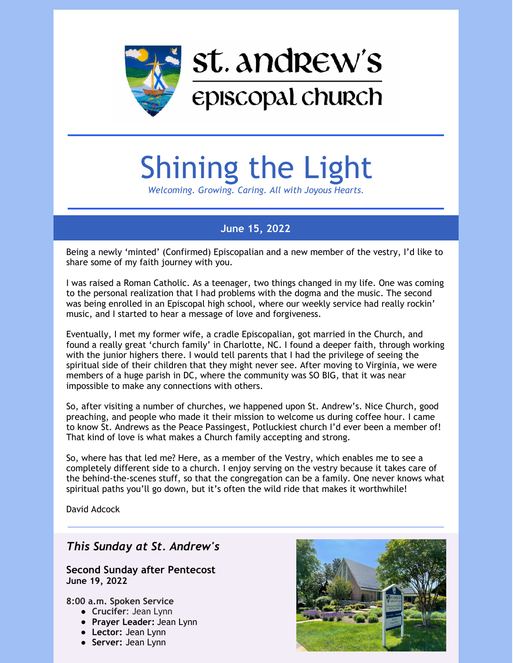

# Shining the Light

*Welcoming. Growing. Caring. All with Joyous Hearts.*

### **June 15, 2022**

Being a newly 'minted' (Confirmed) Episcopalian and a new member of the vestry, I'd like to share some of my faith journey with you.

I was raised a Roman Catholic. As a teenager, two things changed in my life. One was coming to the personal realization that I had problems with the dogma and the music. The second was being enrolled in an Episcopal high school, where our weekly service had really rockin' music, and I started to hear a message of love and forgiveness.

Eventually, I met my former wife, a cradle Episcopalian, got married in the Church, and found a really great 'church family' in Charlotte, NC. I found a deeper faith, through working with the junior highers there. I would tell parents that I had the privilege of seeing the spiritual side of their children that they might never see. After moving to Virginia, we were members of a huge parish in DC, where the community was SO BIG, that it was near impossible to make any connections with others.

So, after visiting a number of churches, we happened upon St. Andrew's. Nice Church, good preaching, and people who made it their mission to welcome us during coffee hour. I came to know St. Andrews as the Peace Passingest, Potluckiest church I'd ever been a member of! That kind of love is what makes a Church family accepting and strong.

So, where has that led me? Here, as a member of the Vestry, which enables me to see a completely different side to a church. I enjoy serving on the vestry because it takes care of the behind-the-scenes stuff, so that the congregation can be a family. One never knows what spiritual paths you'll go down, but it's often the wild ride that makes it worthwhile!

David Adcock

### *This Sunday at St. Andrew's*

#### **Second Sunday after Pentecost June 19, 2022**

**8:00 a.m. Spoken Service**

- **Crucifer**: Jean Lynn
- **Prayer Leader:** Jean Lynn
- **Lector:** Jean Lynn
- **Server:** Jean Lynn

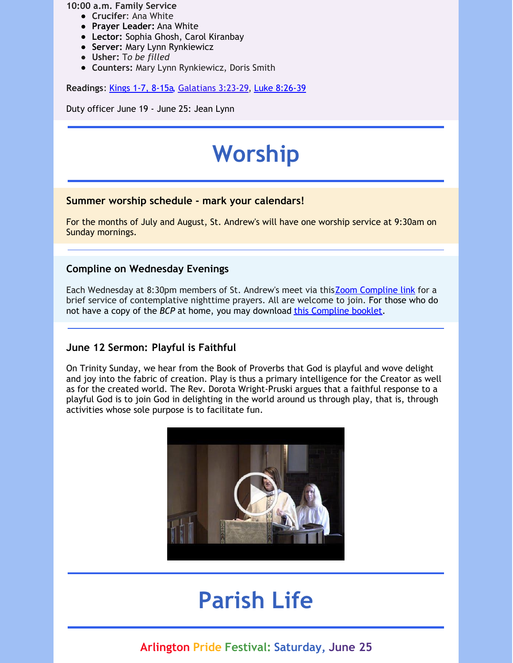**10:00 a.m. Family Service**

- **Crucifer**: Ana White
- **Prayer Leader:** Ana White
- **Lector:** Sophia Ghosh, Carol Kiranbay
- **Server:** Mary Lynn Rynkiewicz
- **Usher:** T*o be filled*
- **Counters:** Mary Lynn Rynkiewicz, Doris Smith

**Readings**: [Kings](https://www.lectionarypage.net/YearC_RCL/Pentecost/CProp7_RCL.html#ot1) 1-7, 8-15a, [Galatians](https://www.lectionarypage.net/YearC_RCL/Pentecost/CProp7_RCL.html#nt1) 3:23-29, Luke [8:26-39](https://www.lectionarypage.net/YearC_RCL/Pentecost/CProp7_RCL.html#gsp1)

Duty officer June 19 - June 25: Jean Lynn

# **Worship**

#### **Summer worship schedule - mark your calendars!**

For the months of July and August, St. Andrew's will have one worship service at 9:30am on Sunday mornings.

#### **Compline on Wednesday Evenings**

Each Wednesday at 8:30pm members of St. Andrew's meet via thisZoom [Compline](https://us02web.zoom.us/j/84919659070?pwd=YVkzUGhsYTlpV3RvLzlmSHdaYTBMUT09) link for a brief service of contemplative nighttime prayers. All are welcome to join. For those who do not have a copy of the *BCP* at home, you may download this [Compline](http://r20.rs6.net/tn.jsp?f=001IX04t7Blbq8Xb52-CApgqEptB7uqwCgv-IBvMmm5jS3EW9gLNovpZdAp6u0uxVQwFK-Ckj2ya8CEI2y-KJD5wUyLWoXU9T9hCqoAE68x_KlogcqcboctK42gPU4QsfNqYJZBu3-1327Udf_19TCpDp4MvGrxNHhAUpV72z3NgJyKHwBJAvBcGOSDCB4Z8DM3G11HCrfT7GHm-Yca3qTBFmCU-sQTzRfan8GMOTUlBCY=&c=y4G0hvXAVRZ3MaLEg7Z_9wYrAp3KxNIdOTqhfZ8puMFDSwelCUei4g==&ch=eHR0wdcStqD8IohtcEcDe9Ka87h_M_BPm0FPV3o6RzGIcsafsnJ2FA==) booklet.

#### **June 12 Sermon: Playful is Faithful**

On Trinity Sunday, we hear from the Book of Proverbs that God is playful and wove delight and joy into the fabric of creation. Play is thus a primary intelligence for the Creator as well as for the created world. The Rev. Dorota Wright-Pruski argues that a faithful response to a playful God is to join God in delighting in the world around us through play, that is, through activities whose sole purpose is to facilitate fun.



## **Parish Life**

### **Arlington Pride Festival: Saturday, June 25**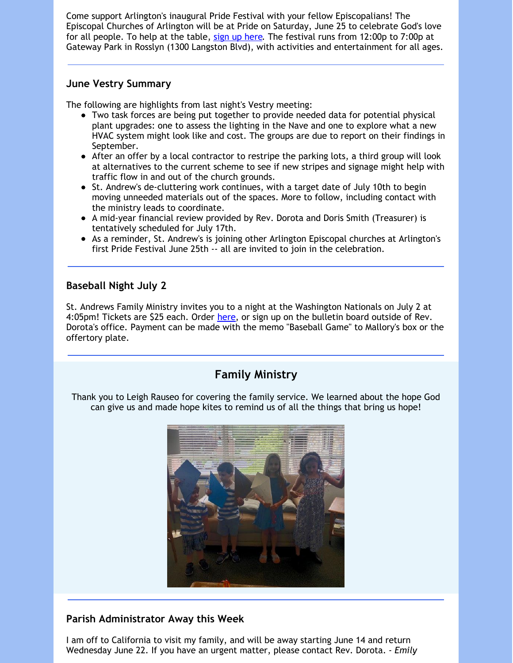Come support Arlington's inaugural Pride Festival with your fellow Episcopalians! The Episcopal Churches of Arlington will be at Pride on Saturday, June 25 to celebrate God's love for all people. To help at the table, sign up [here](https://www.signupgenius.com/go/70a044fa5a62ea1fa7-arlington). The festival runs from 12:00p to 7:00p at Gateway Park in Rosslyn (1300 Langston Blvd), with activities and entertainment for all ages.

#### **June Vestry Summary**

The following are highlights from last night's Vestry meeting:

- Two task forces are being put together to provide needed data for potential physical plant upgrades: one to assess the lighting in the Nave and one to explore what a new HVAC system might look like and cost. The groups are due to report on their findings in September.
- After an offer by a local contractor to restripe the parking lots, a third group will look at alternatives to the current scheme to see if new stripes and signage might help with traffic flow in and out of the church grounds.
- St. Andrew's de-cluttering work continues, with a target date of July 10th to begin moving unneeded materials out of the spaces. More to follow, including contact with the ministry leads to coordinate.
- A mid-year financial review provided by Rev. Dorota and Doris Smith (Treasurer) is tentatively scheduled for July 17th.
- As a reminder, St. Andrew's is joining other Arlington Episcopal churches at Arlington's first Pride Festival June 25th -- all are invited to join in the celebration.

#### **Baseball Night July 2**

St. Andrews Family Ministry invites you to a night at the Washington Nationals on July 2 at 4:05pm! Tickets are \$25 each. Order [here](https://forms.gle/k4rivoCJURUy4Htf6), or sign up on the bulletin board outside of Rev. Dorota's office. Payment can be made with the memo "Baseball Game" to Mallory's box or the offertory plate.

### **Family Ministry**

Thank you to Leigh Rauseo for covering the family service. We learned about the hope God can give us and made hope kites to remind us of all the things that bring us hope!



#### **Parish Administrator Away this Week**

I am off to California to visit my family, and will be away starting June 14 and return Wednesday June 22. If you have an urgent matter, please contact Rev. Dorota. *- Emily*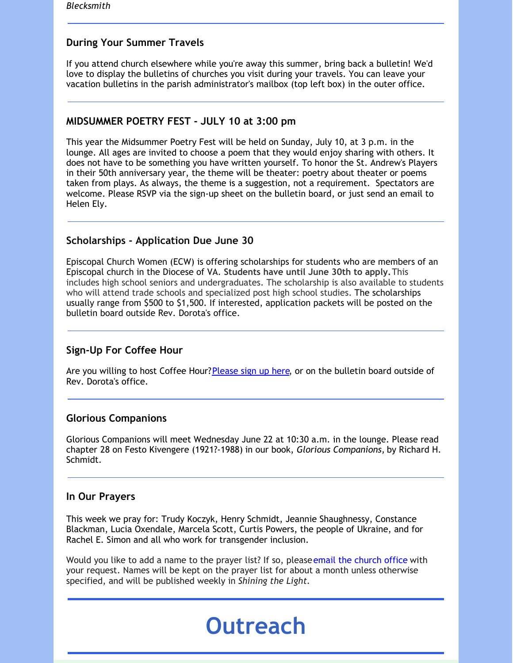#### **During Your Summer Travels**

If you attend church elsewhere while you're away this summer, bring back a bulletin! We'd love to display the bulletins of churches you visit during your travels. You can leave your vacation bulletins in the parish administrator's mailbox (top left box) in the outer office.

#### **MIDSUMMER POETRY FEST - JULY 10 at 3:00 pm**

This year the Midsummer Poetry Fest will be held on Sunday, July 10, at 3 p.m. in the lounge. All ages are invited to choose a poem that they would enjoy sharing with others. It does not have to be something you have written yourself. To honor the St. Andrew's Players in their 50th anniversary year, the theme will be theater: poetry about theater or poems taken from plays. As always, the theme is a suggestion, not a requirement. Spectators are welcome. Please RSVP via the sign-up sheet on the bulletin board, or just send an email to Helen Ely.

#### **Scholarships - Application Due June 30**

Episcopal Church Women (ECW) is offering scholarships for students who are members of an Episcopal church in the Diocese of VA. **Students have until June 30th to apply.**This includes high school seniors and undergraduates. The scholarship is also available to students who will attend trade schools and specialized post high school studies. The scholarships usually range from \$500 to \$1,500. If interested, application packets will be posted on the bulletin board outside Rev. Dorota's office.

#### **Sign-Up For Coffee Hour**

Are you willing to host Coffee Hour? [Please](https://www.signupgenius.com/go/10c0c4aa8ac2ea7fc1-standrews) sign up here, or on the bulletin board outside of Rev. Dorota's office.

#### **Glorious Companions**

Glorious Companions will meet Wednesday June 22 at 10:30 a.m. in the lounge. Please read chapter 28 on Festo Kivengere (1921?-1988) in our book, *Glorious Companions,* by Richard H. Schmidt.

#### **In Our Prayers**

This week we pray for: Trudy Koczyk, Henry Schmidt, Jeannie Shaughnessy, Constance Blackman, Lucia Oxendale, Marcela Scott, Curtis Powers, the people of Ukraine, and for Rachel E. Simon and all who work for transgender inclusion.

Would you like to add a name to the prayer list? If so, pleaseemail the church office with your request. Names will be kept on the prayer list for about a month unless otherwise specified, and will be published weekly in *Shining the Light.*

# **Outreach**